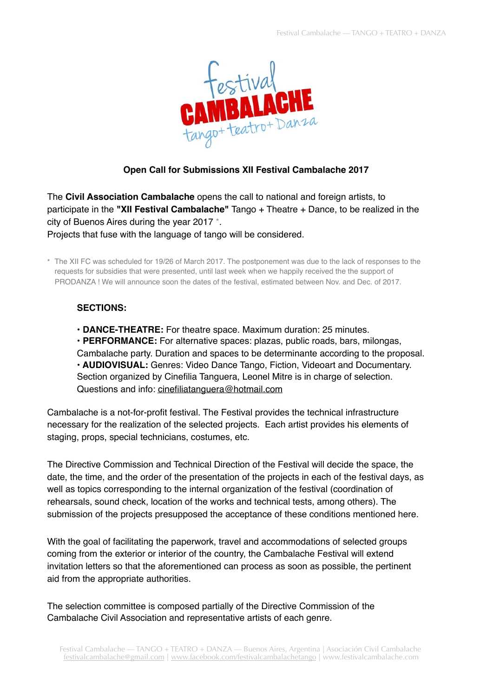

## **Open Call for Submissions XII Festival Cambalache 2017**

The **Civil Association Cambalache** opens the call to national and foreign artists, to participate in the **"XII Festival Cambalache"** Tango + Theatre + Dance, to be realized in the city of Buenos Aires during the year 2017 \*. Projects that fuse with the language of tango will be considered.

\* The XII FC was scheduled for 19/26 of March 2017. The postponement was due to the lack of responses to the requests for subsidies that were presented, until last week when we happily received the the support of PRODANZA ! We will announce soon the dates of the festival, estimated between Nov. and Dec. of 2017.

## **SECTIONS:**

**• DANCE-THEATRE:** For theatre space. Maximum duration: 25 minutes.

**• PERFORMANCE:** For alternative spaces: plazas, public roads, bars, milongas, Cambalache party. Duration and spaces to be determinante according to the proposal. **• AUDIOVISUAL:** Genres: Video Dance Tango, Fiction, Videoart and Documentary. Section organized by Cinefilia Tanguera, Leonel Mitre is in charge of selection. Questions and info: [cinefiliatanguera@hotmail.com](mailto:cinefiliatanguera@hotmail.com)

Cambalache is a not-for-profit festival. The Festival provides the technical infrastructure necessary for the realization of the selected projects. Each artist provides his elements of staging, props, special technicians, costumes, etc.

The Directive Commission and Technical Direction of the Festival will decide the space, the date, the time, and the order of the presentation of the projects in each of the festival days, as well as topics corresponding to the internal organization of the festival (coordination of rehearsals, sound check, location of the works and technical tests, among others). The submission of the projects presupposed the acceptance of these conditions mentioned here.

With the goal of facilitating the paperwork, travel and accommodations of selected groups coming from the exterior or interior of the country, the Cambalache Festival will extend invitation letters so that the aforementioned can process as soon as possible, the pertinent aid from the appropriate authorities.

The selection committee is composed partially of the Directive Commission of the Cambalache Civil Association and representative artists of each genre.